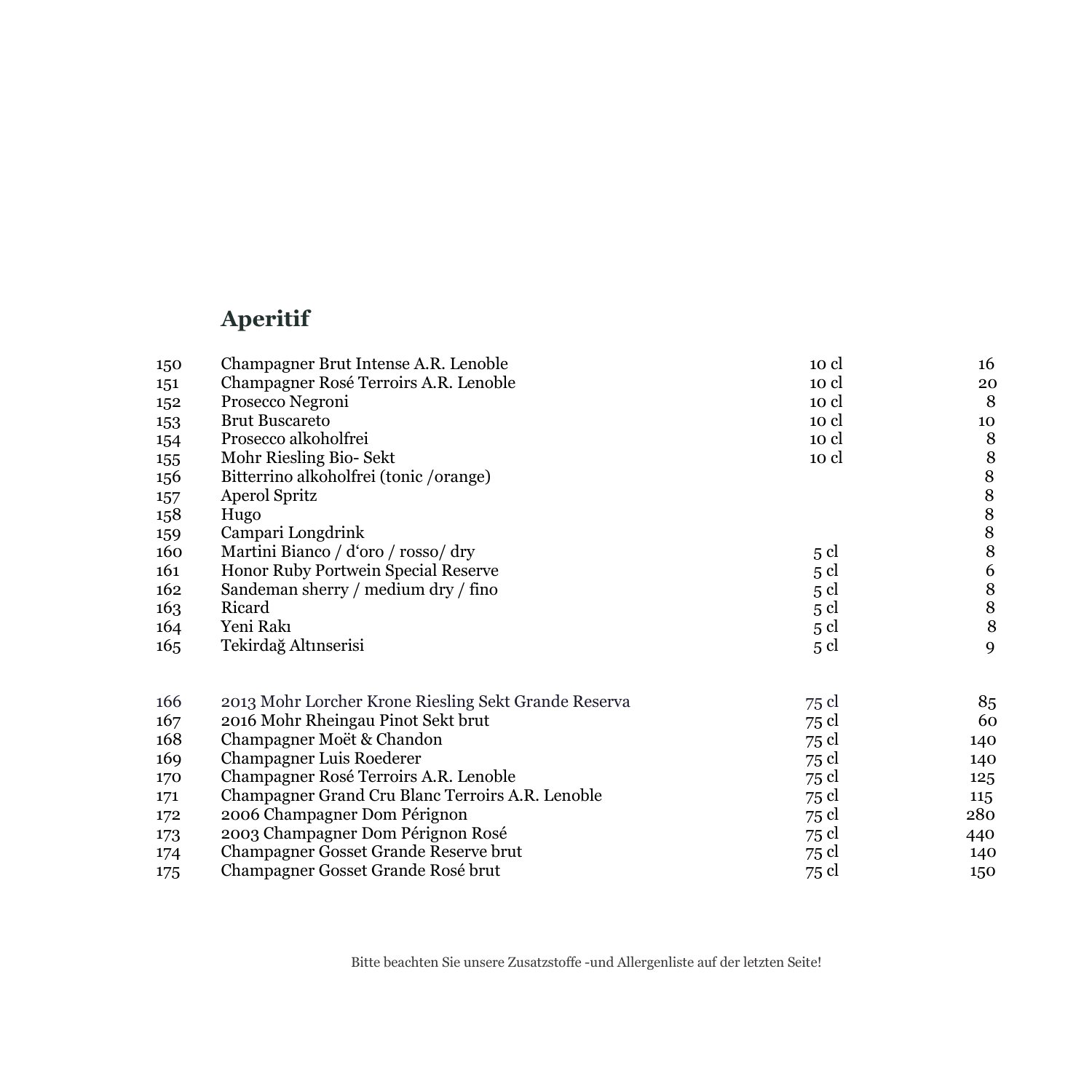# **Aperitif**

| 150 | Champagner Brut Intense A.R. Lenoble                 | 10 cl | 16                                    |
|-----|------------------------------------------------------|-------|---------------------------------------|
| 151 | Champagner Rosé Terroirs A.R. Lenoble                | 10 cl | 20                                    |
| 152 | Prosecco Negroni                                     | 10 cl | 8                                     |
| 153 | <b>Brut Buscareto</b>                                | 10 cl | 10                                    |
| 154 | Prosecco alkoholfrei                                 | 10 cl | 8                                     |
| 155 | Mohr Riesling Bio- Sekt                              | 10 cl | 8                                     |
| 156 | Bitterrino alkoholfrei (tonic /orange)               |       | $\,$ 8 $\,$                           |
| 157 | Aperol Spritz                                        |       | $\,$ 8 $\,$                           |
| 158 | Hugo                                                 |       |                                       |
| 159 | Campari Longdrink                                    |       | $\begin{array}{c} 8 \\ 8 \end{array}$ |
| 160 | Martini Bianco / d'oro / rosso/ dry                  | 5 cl  | 8                                     |
| 161 | Honor Ruby Portwein Special Reserve                  | 5 cl  | 6                                     |
| 162 | Sandeman sherry / medium dry / fino                  | 5 cl  | $\,$ 8 $\,$                           |
| 163 | Ricard                                               | 5 cl  | 8                                     |
| 164 | Yeni Rakı                                            | 5 cl  | $\, 8$                                |
| 165 | Tekirdağ Altınserisi                                 | 5 cl  | 9                                     |
| 166 | 2013 Mohr Lorcher Krone Riesling Sekt Grande Reserva | 75 cl | 85                                    |
| 167 | 2016 Mohr Rheingau Pinot Sekt brut                   | 75 cl | 60                                    |
| 168 | Champagner Moët & Chandon                            | 75 cl | 140                                   |
| 169 | Champagner Luis Roederer                             | 75 cl | 140                                   |
| 170 | Champagner Rosé Terroirs A.R. Lenoble                | 75 cl | 125                                   |
| 171 | Champagner Grand Cru Blanc Terroirs A.R. Lenoble     | 75 cl | 115                                   |
| 172 | 2006 Champagner Dom Pérignon                         | 75 cl | 280                                   |
| 173 | 2003 Champagner Dom Pérignon Rosé                    | 75 cl | 440                                   |
| 174 | Champagner Gosset Grande Reserve brut                | 75 cl | 140                                   |
| 175 | Champagner Gosset Grande Rosé brut                   | 75 cl | 150                                   |

Bitte beachten Sie unsere Zusatzstoffe -und Allergenliste auf der letzten Seite!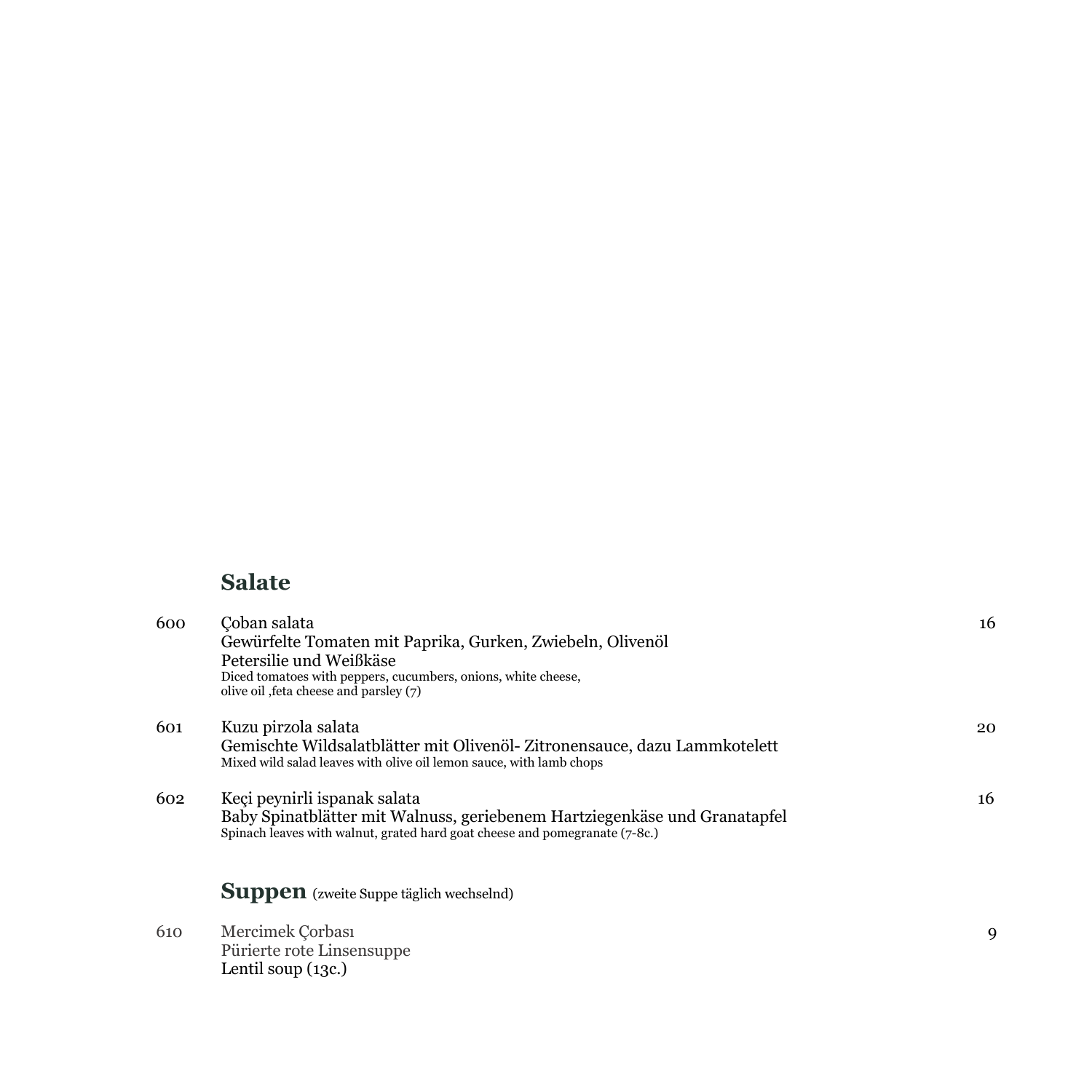### **Salate**

| 600 | Coban salata<br>Gewürfelte Tomaten mit Paprika, Gurken, Zwiebeln, Olivenöl<br>Petersilie und Weißkäse<br>Diced tomatoes with peppers, cucumbers, onions, white cheese,<br>olive oil, feta cheese and parsley (7) | 16 |
|-----|------------------------------------------------------------------------------------------------------------------------------------------------------------------------------------------------------------------|----|
| 601 | Kuzu pirzola salata<br>Gemischte Wildsalatblätter mit Olivenöl-Zitronensauce, dazu Lammkotelett<br>Mixed wild salad leaves with olive oil lemon sauce, with lamb chops                                           | 20 |
| 602 | Keçi peynirli ispanak salata<br>Baby Spinatblätter mit Walnuss, geriebenem Hartziegenkäse und Granatapfel<br>Spinach leaves with walnut, grated hard goat cheese and pomegranate (7-8c.)                         | 16 |
|     | <b>Suppen</b> (zweite Suppe täglich wechselnd)                                                                                                                                                                   |    |
| 610 | Mercimek Çorbası<br>Pürierte rote Linsensuppe<br>Lentil soup $(13c)$                                                                                                                                             | 9  |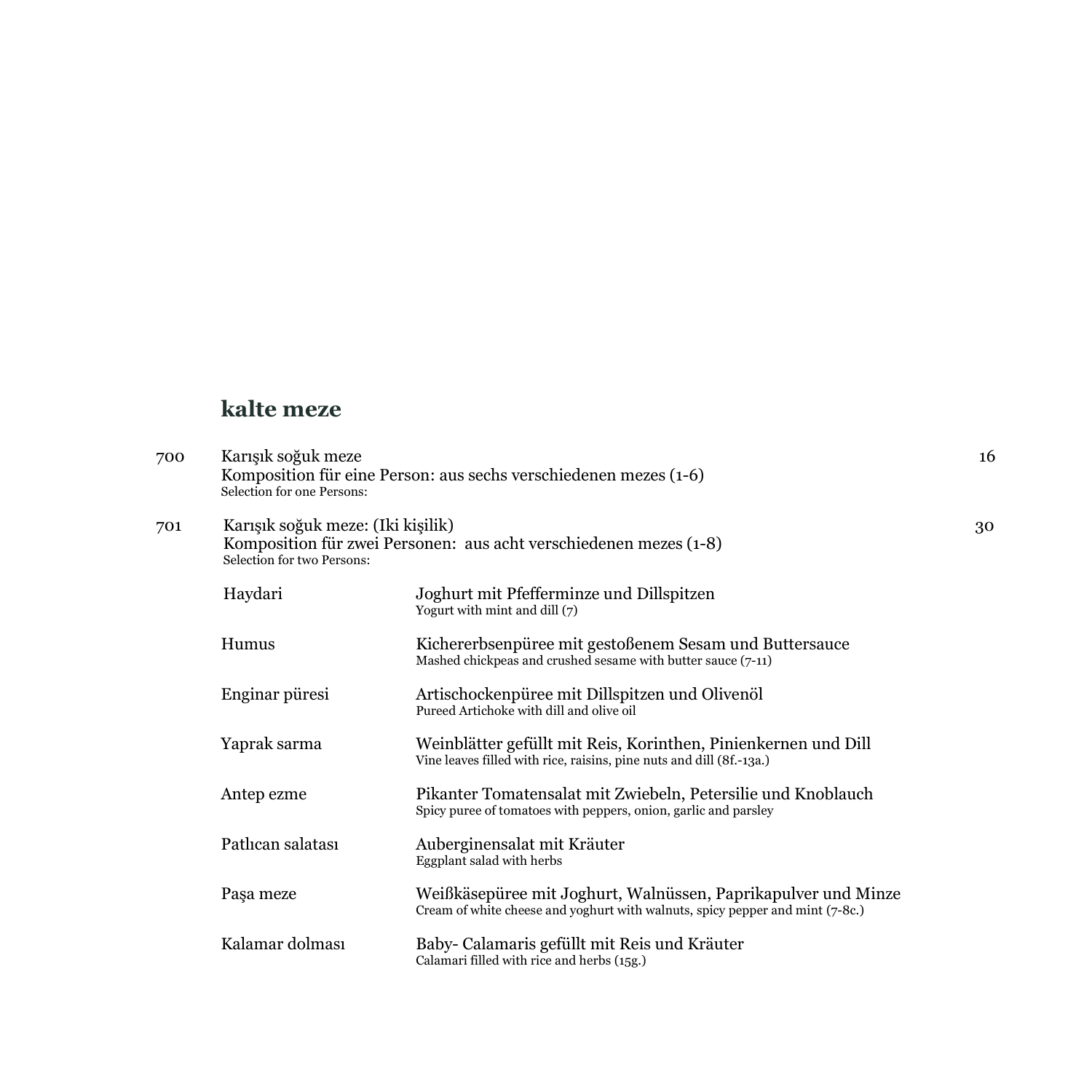### **kalte meze**

| 700 | Karışık soğuk meze<br>Selection for one Persons:                | Komposition für eine Person: aus sechs verschiedenen mezes (1-6)                                                                               | 16 |
|-----|-----------------------------------------------------------------|------------------------------------------------------------------------------------------------------------------------------------------------|----|
| 701 | Karışık soğuk meze: (Iki kişilik)<br>Selection for two Persons: | Komposition für zwei Personen: aus acht verschiedenen mezes (1-8)                                                                              | 30 |
|     | Haydari                                                         | Joghurt mit Pfefferminze und Dillspitzen<br>Yogurt with mint and dill (7)                                                                      |    |
|     | Humus                                                           | Kichererbsenpüree mit gestoßenem Sesam und Buttersauce<br>Mashed chickpeas and crushed sesame with butter sauce (7-11)                         |    |
|     | Enginar püresi                                                  | Artischockenpüree mit Dillspitzen und Olivenöl<br>Pureed Artichoke with dill and olive oil                                                     |    |
|     | Yaprak sarma                                                    | Weinblätter gefüllt mit Reis, Korinthen, Pinienkernen und Dill<br>Vine leaves filled with rice, raisins, pine nuts and dill (8f.-13a.)         |    |
|     | Antep ezme                                                      | Pikanter Tomatensalat mit Zwiebeln, Petersilie und Knoblauch<br>Spicy puree of tomatoes with peppers, onion, garlic and parsley                |    |
|     | Patlıcan salatası                                               | Auberginensalat mit Kräuter<br>Eggplant salad with herbs                                                                                       |    |
|     | Paşa meze                                                       | Weißkäsepüree mit Joghurt, Walnüssen, Paprikapulver und Minze<br>Cream of white cheese and yoghurt with walnuts, spicy pepper and mint (7-8c.) |    |
|     | Kalamar dolması                                                 | Baby- Calamaris gefüllt mit Reis und Kräuter<br>Calamari filled with rice and herbs (15g.)                                                     |    |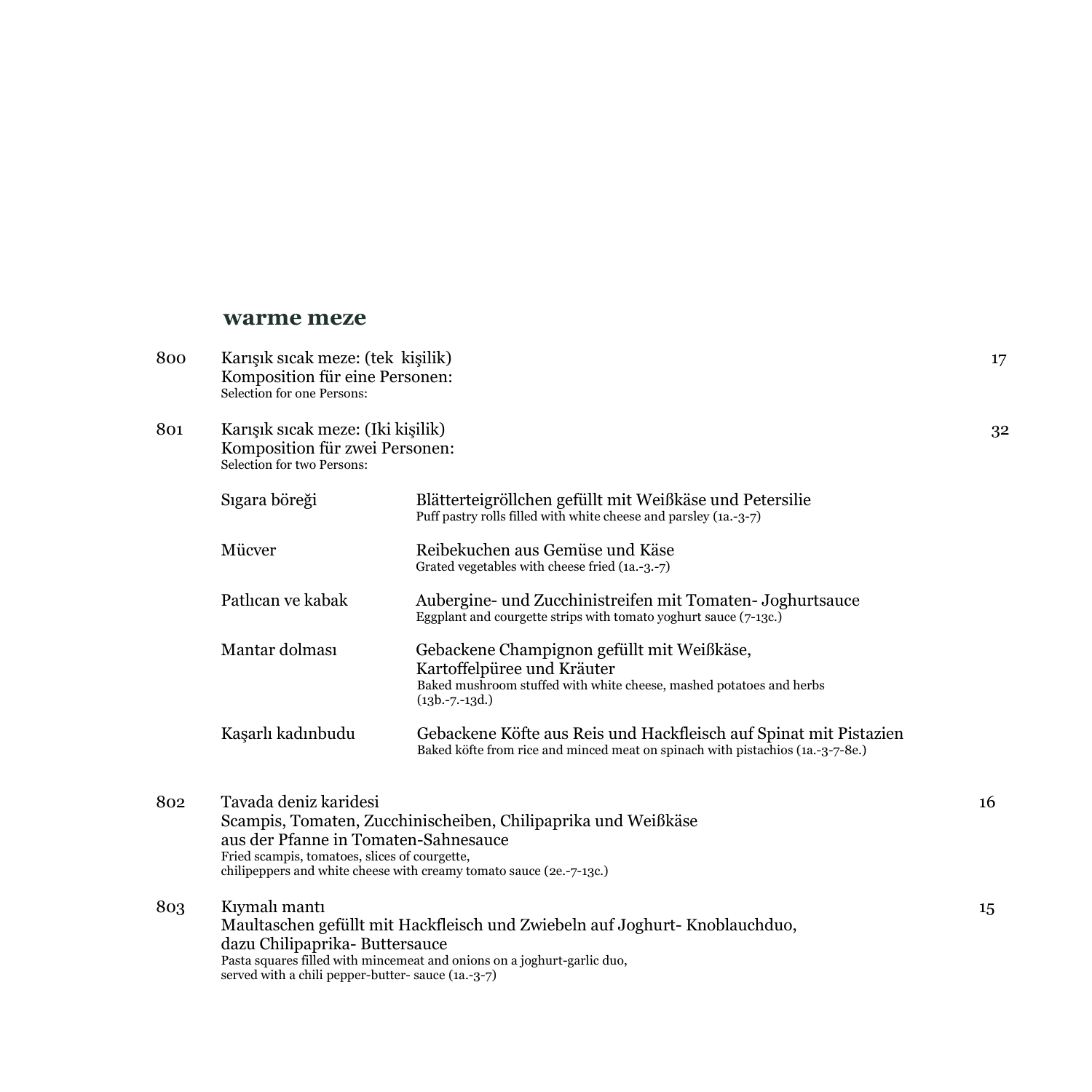#### **warme meze**

| 800 | Karışık sıcak meze: (tek kişilik)<br>Komposition für eine Personen:<br>Selection for one Persons:              |                                                                                                                                                                       | 17 |
|-----|----------------------------------------------------------------------------------------------------------------|-----------------------------------------------------------------------------------------------------------------------------------------------------------------------|----|
| 801 | Karışık sıcak meze: (Iki kişilik)<br>Komposition für zwei Personen:<br>Selection for two Persons:              |                                                                                                                                                                       | 32 |
|     | Sıgara böreği                                                                                                  | Blätterteigröllchen gefüllt mit Weißkäse und Petersilie<br>Puff pastry rolls filled with white cheese and parsley (1a.-3-7)                                           |    |
|     | Mücver                                                                                                         | Reibekuchen aus Gemüse und Käse<br>Grated vegetables with cheese fried (1a.-3.-7)                                                                                     |    |
|     | Patlican ve kabak                                                                                              | Aubergine- und Zucchinistreifen mit Tomaten- Joghurtsauce<br>Eggplant and courgette strips with tomato yoghurt sauce (7-13c.)                                         |    |
|     | Mantar dolması                                                                                                 | Gebackene Champignon gefüllt mit Weißkäse,<br>Kartoffelpüree und Kräuter<br>Baked mushroom stuffed with white cheese, mashed potatoes and herbs<br>$(13b. -7. -13d.)$ |    |
|     | Kaşarlı kadınbudu                                                                                              | Gebackene Köfte aus Reis und Hackfleisch auf Spinat mit Pistazien<br>Baked köfte from rice and minced meat on spinach with pistachios (1a.-3-7-8e.)                   |    |
| 802 | Tavada deniz karidesi<br>aus der Pfanne in Tomaten-Sahnesauce<br>Fried scampis, tomatoes, slices of courgette, | Scampis, Tomaten, Zucchinischeiben, Chilipaprika und Weißkäse<br>chilipeppers and white cheese with creamy tomato sauce (2e.-7-13c.)                                  | 16 |
| 803 | Kıymalı mantı<br>dazu Chilipaprika-Buttersauce<br>served with a chili pepper-butter-sauce (1a.-3-7)            | Maultaschen gefüllt mit Hackfleisch und Zwiebeln auf Joghurt-Knoblauchduo,<br>Pasta squares filled with mincemeat and onions on a joghurt-garlic duo,                 | 15 |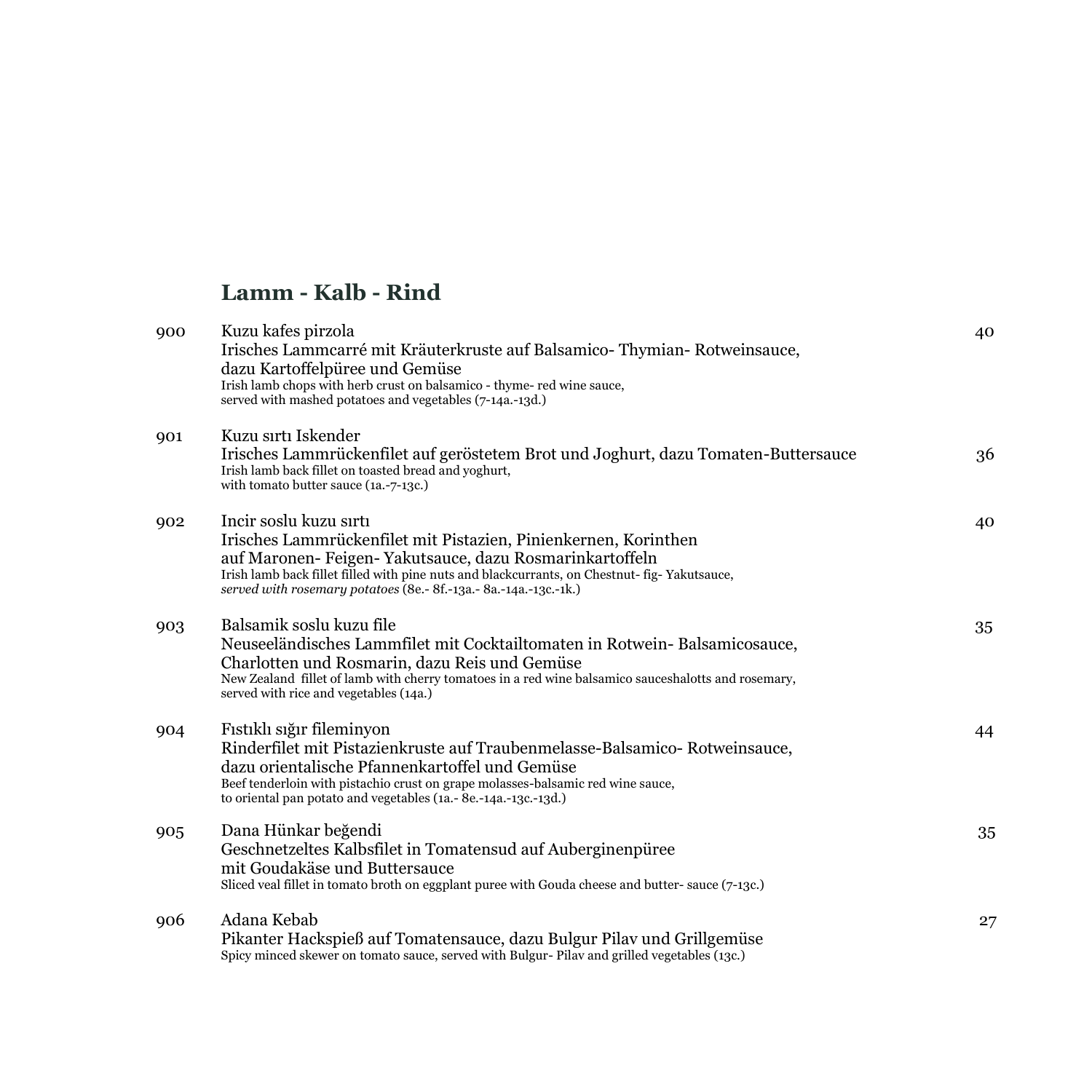#### **Lamm - Kalb - Rind**

| 900 | Kuzu kafes pirzola<br>Irisches Lammcarré mit Kräuterkruste auf Balsamico-Thymian-Rotweinsauce,<br>dazu Kartoffelpüree und Gemüse<br>Irish lamb chops with herb crust on balsamico - thyme- red wine sauce,<br>served with mashed potatoes and vegetables (7-14a.-13d.)                                                    | 40 |
|-----|---------------------------------------------------------------------------------------------------------------------------------------------------------------------------------------------------------------------------------------------------------------------------------------------------------------------------|----|
| 901 | Kuzu sırtı Iskender<br>Irisches Lammrückenfilet auf geröstetem Brot und Joghurt, dazu Tomaten-Buttersauce<br>Irish lamb back fillet on toasted bread and yoghurt,<br>with tomato butter sauce (1a.-7-13c.)                                                                                                                | 36 |
| 902 | Incir soslu kuzu sırtı<br>Irisches Lammrückenfilet mit Pistazien, Pinienkernen, Korinthen<br>auf Maronen- Feigen- Yakutsauce, dazu Rosmarinkartoffeln<br>Irish lamb back fillet filled with pine nuts and blackcurrants, on Chestnut- fig-Yakutsauce,<br>served with rosemary potatoes (8e.- 8f.-13a.- 8a.-14a.-13c.-1k.) | 40 |
| 903 | Balsamik soslu kuzu file<br>Neuseeländisches Lammfilet mit Cocktailtomaten in Rotwein- Balsamicosauce,<br>Charlotten und Rosmarin, dazu Reis und Gemüse<br>New Zealand fillet of lamb with cherry tomatoes in a red wine balsamico sauceshalotts and rosemary,<br>served with rice and vegetables (14a.)                  | 35 |
| 904 | Fıstıklı sığır fileminyon<br>Rinderfilet mit Pistazienkruste auf Traubenmelasse-Balsamico- Rotweinsauce,<br>dazu orientalische Pfannenkartoffel und Gemüse<br>Beef tenderloin with pistachio crust on grape molasses-balsamic red wine sauce,<br>to oriental pan potato and vegetables (1a.-8e.-14a.-13c.-13d.)           | 44 |
| 905 | Dana Hünkar beğendi<br>Geschnetzeltes Kalbsfilet in Tomatensud auf Auberginenpüree<br>mit Goudakäse und Buttersauce<br>Sliced veal fillet in tomato broth on eggplant puree with Gouda cheese and butter-sauce (7-13c.)                                                                                                   | 35 |
| 906 | Adana Kebab<br>Pikanter Hackspieß auf Tomatensauce, dazu Bulgur Pilav und Grillgemüse<br>Spicy minced skewer on tomato sauce, served with Bulgur- Pilav and grilled vegetables (13c.)                                                                                                                                     | 27 |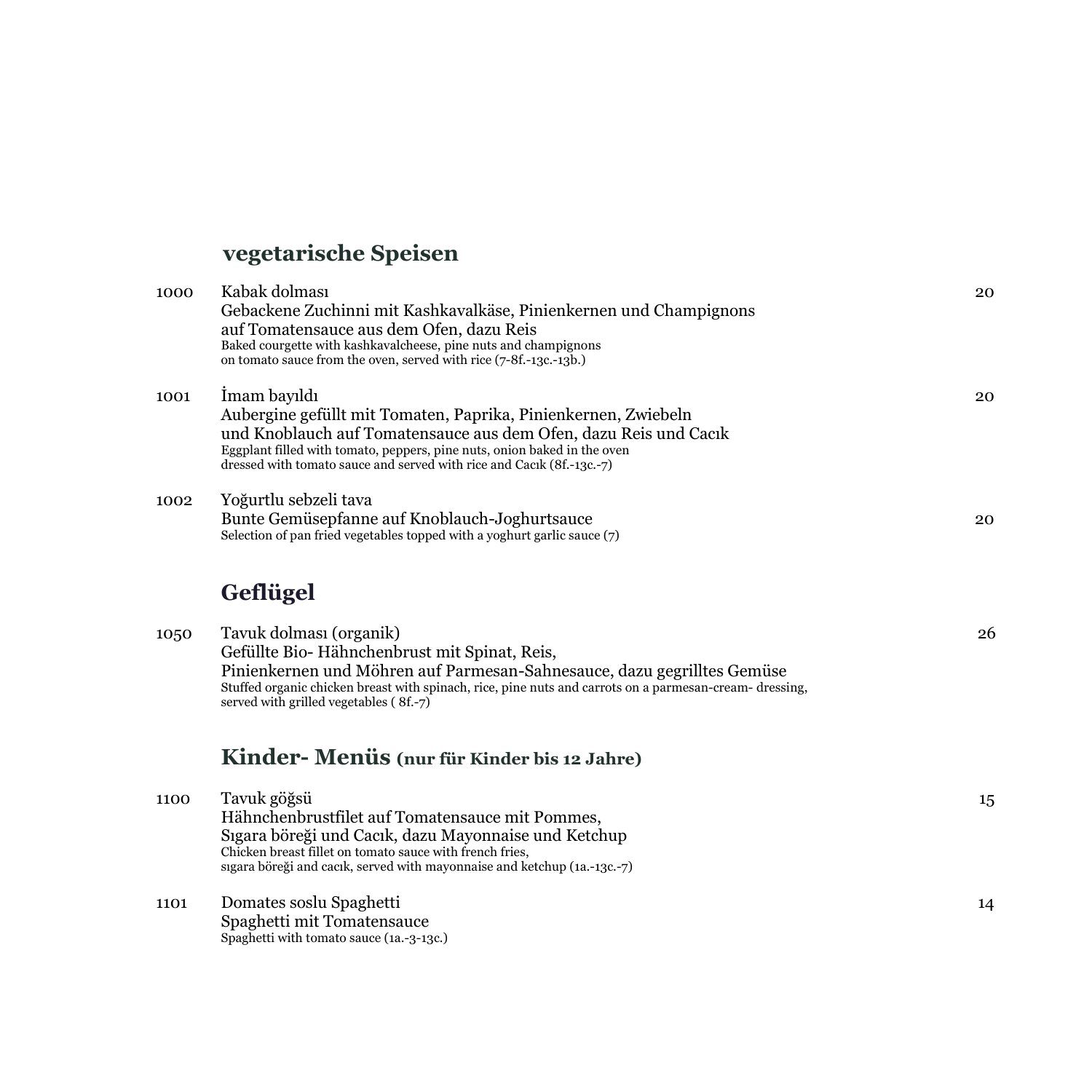# **vegetarische Speisen**

| 1000 | Kabak dolması<br>Gebackene Zuchinni mit Kashkavalkäse, Pinienkernen und Champignons<br>auf Tomatensauce aus dem Ofen, dazu Reis<br>Baked courgette with kashkavalcheese, pine nuts and champignons<br>on tomato sauce from the oven, served with rice (7-8f.-13c.-13b.)                                 | 20 |
|------|---------------------------------------------------------------------------------------------------------------------------------------------------------------------------------------------------------------------------------------------------------------------------------------------------------|----|
| 1001 | Imam bayıldı<br>Aubergine gefüllt mit Tomaten, Paprika, Pinienkernen, Zwiebeln<br>und Knoblauch auf Tomatensauce aus dem Ofen, dazu Reis und Cacik<br>Eggplant filled with tomato, peppers, pine nuts, onion baked in the oven<br>dressed with tomato sauce and served with rice and Cacık (8f.-13c.-7) | 20 |
| 1002 | Yoğurtlu sebzeli tava<br>Bunte Gemüsepfanne auf Knoblauch-Joghurtsauce<br>Selection of pan fried vegetables topped with a yoghurt garlic sauce (7)                                                                                                                                                      | 20 |
|      | <b>Geflügel</b>                                                                                                                                                                                                                                                                                         |    |
| 1050 | Tavuk dolması (organik)<br>Gefüllte Bio-Hähnchenbrust mit Spinat, Reis,<br>Pinienkernen und Möhren auf Parmesan-Sahnesauce, dazu gegrilltes Gemüse<br>Stuffed organic chicken breast with spinach, rice, pine nuts and carrots on a parmesan-cream- dressing,<br>served with grilled vegetables (8f.-7) | 26 |
|      | Kinder-Menüs (nur für Kinder bis 12 Jahre)                                                                                                                                                                                                                                                              |    |
| 1100 | Tavuk göğsü<br>Hähnchenbrustfilet auf Tomatensauce mit Pommes,<br>Sıgara böreği und Cacık, dazu Mayonnaise und Ketchup<br>Chicken breast fillet on tomato sauce with french fries,<br>sigara böreği and cacik, served with mayonnaise and ketchup (1a.-13c.-7)                                          | 15 |
| 1101 | Domates soslu Spaghetti<br>Spaghetti mit Tomatensauce<br>Spaghetti with tomato sauce (1a.-3-13c.)                                                                                                                                                                                                       | 14 |
|      |                                                                                                                                                                                                                                                                                                         |    |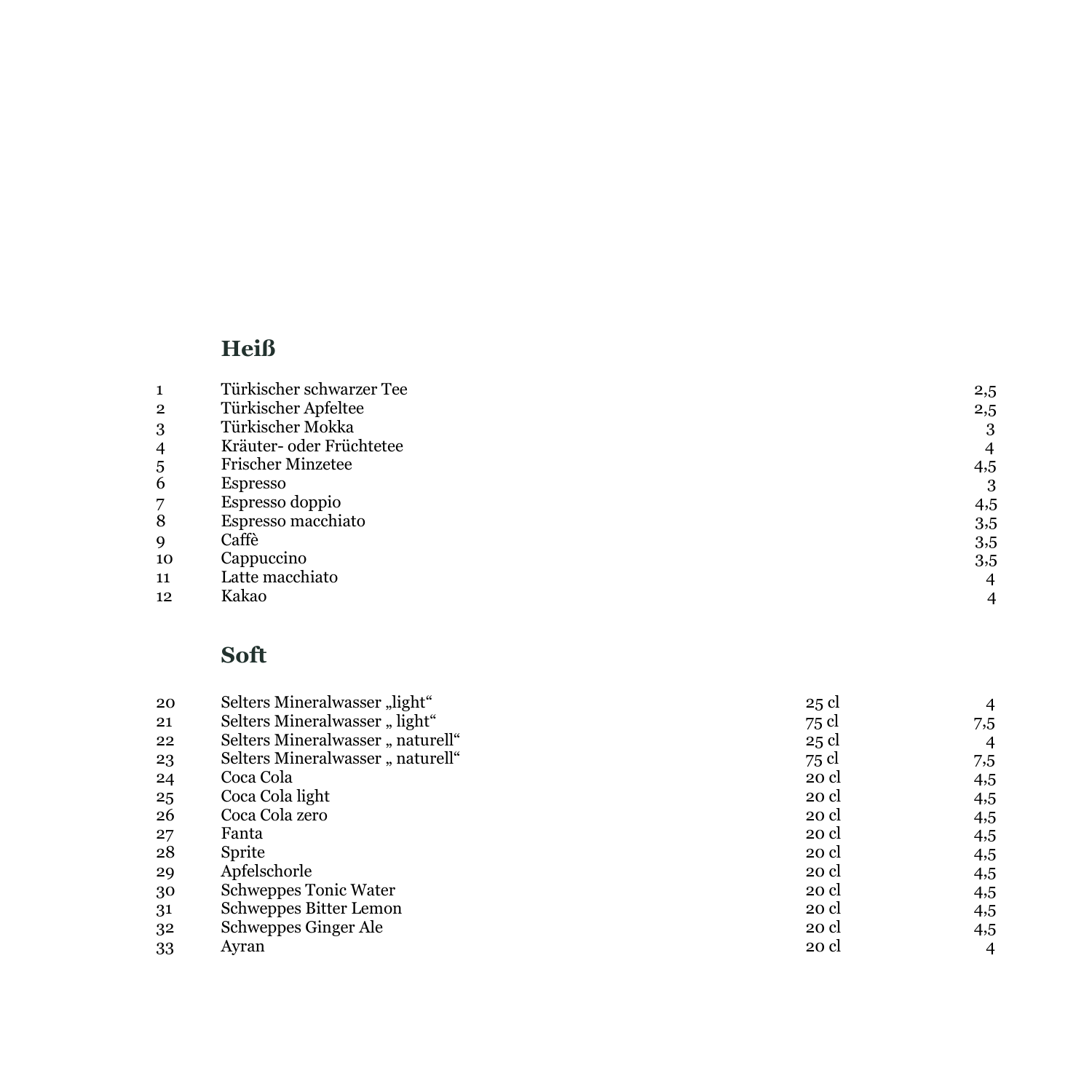# **Heiß**

| 1  | Türkischer schwarzer Tee | $^{2,5}$ |
|----|--------------------------|----------|
| 2  | Türkischer Apfeltee      | $^{2,5}$ |
| 3  | Türkischer Mokka         | 3        |
| 4  | Kräuter- oder Früchtetee | 4        |
| 5  | <b>Frischer Minzetee</b> | 4,5      |
| 6  | Espresso                 | 3        |
| 7  | Espresso doppio          | 4,5      |
| 8  | Espresso macchiato       | 3,5      |
| 9  | Caffè                    | 3,5      |
| 10 | Cappuccino               | 3,5      |
| 11 | Latte macchiato          | 4        |
| 12 | Kakao                    |          |

### **Soft**

| 20 | Selters Mineralwasser "light"    | 25 cl |                |
|----|----------------------------------|-------|----------------|
| 21 | Selters Mineralwasser "light"    | 75 cl | 7,5            |
| 22 | Selters Mineralwasser "naturell" | 25 cl | 4              |
| 23 | Selters Mineralwasser "naturell" | 75 cl | 7,5            |
| 24 | Coca Cola                        | 20 cl | 4,5            |
| 25 | Coca Cola light                  | 20 cl | 4,5            |
| 26 | Coca Cola zero                   | 20 cl | 4,5            |
| 27 | Fanta                            | 20 cl | 4,5            |
| 28 | Sprite                           | 20 cl | 4,5            |
| 29 | Apfelschorle                     | 20 cl | 4,5            |
| 30 | Schweppes Tonic Water            | 20 cl | 4,5            |
| 31 | Schweppes Bitter Lemon           | 20 cl | 4,5            |
| 32 | Schweppes Ginger Ale             | 20 cl | 4,5            |
| 33 | Avran                            | 20 cl | $\overline{4}$ |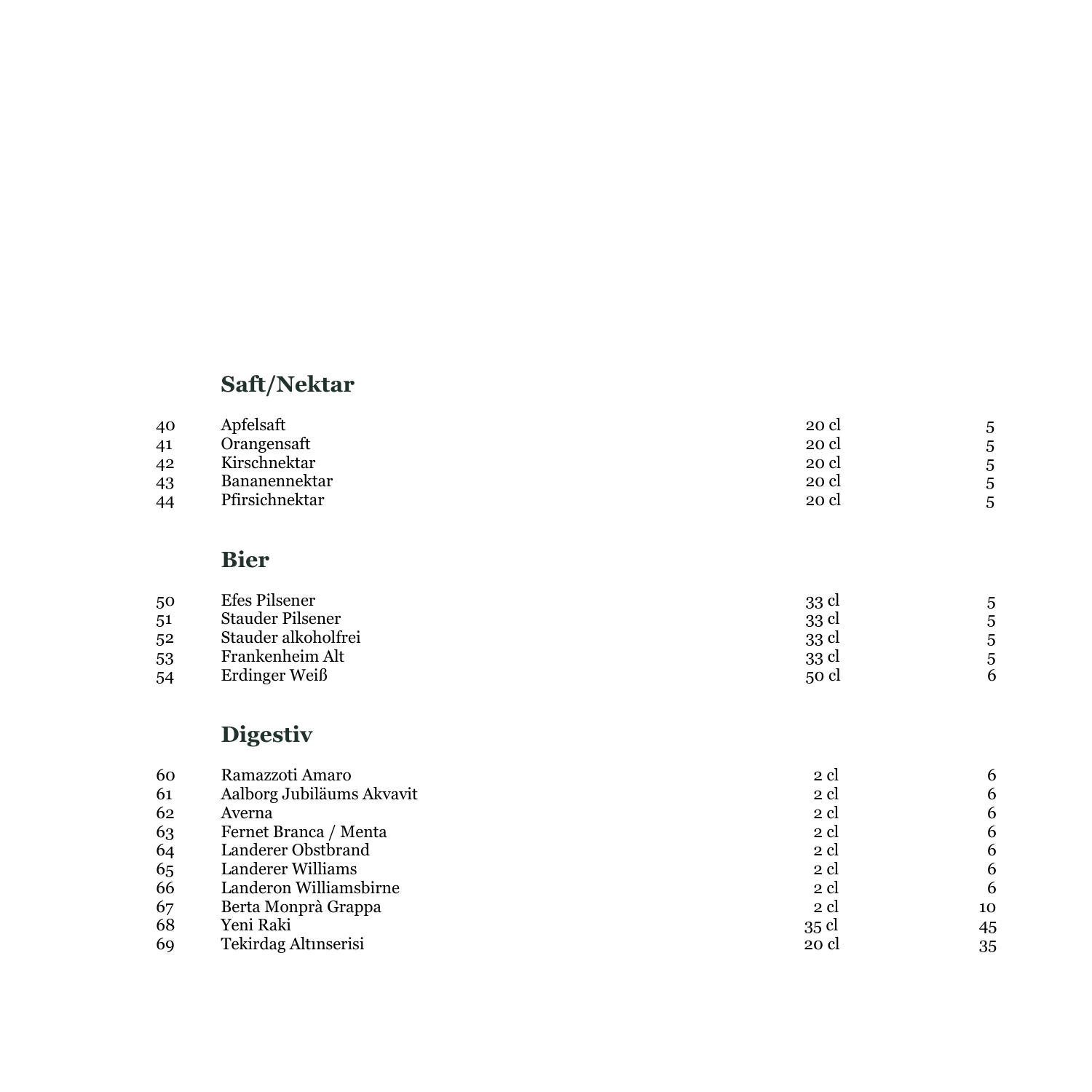#### **S a ft/Nektar**

| 40 | Apfelsaft      | 20 cl | 5 |
|----|----------------|-------|---|
| 41 | Orangensaft    | 20 cl | 5 |
| 42 | Kirschnektar   | 20 cl | 5 |
| 43 | Bananennektar  | 20 cl | 5 |
| 44 | Pfirsichnektar | 20 cl | 5 |

### **Bier**

| 50 | Efes Pilsener       | 33 cl |  |
|----|---------------------|-------|--|
| 51 | Stauder Pilsener    | 33 cl |  |
| 52 | Stauder alkoholfrei | 33 cl |  |
| 53 | Frankenheim Alt     | 33 cl |  |
| 54 | Erdinger Weiß       | 50 cl |  |

# **Digestiv**

| Ramazzoti Amaro           | 2 cl  | 6  |
|---------------------------|-------|----|
| Aalborg Jubiläums Akvavit | 2 cl  | 6  |
| Averna                    | 2 cl  | 6  |
| Fernet Branca / Menta     | 2 cl  | 6  |
| Landerer Obstbrand        | 2 cl  | 6  |
| Landerer Williams         | 2 cl  | 6  |
| Landeron Williamsbirne    | 2 cl  | 6  |
| Berta Monprà Grappa       | 2 cl  | 10 |
| Yeni Raki                 | 35 cl | 45 |
| Tekirdag Altınserisi      | 20 cl | 35 |
|                           |       |    |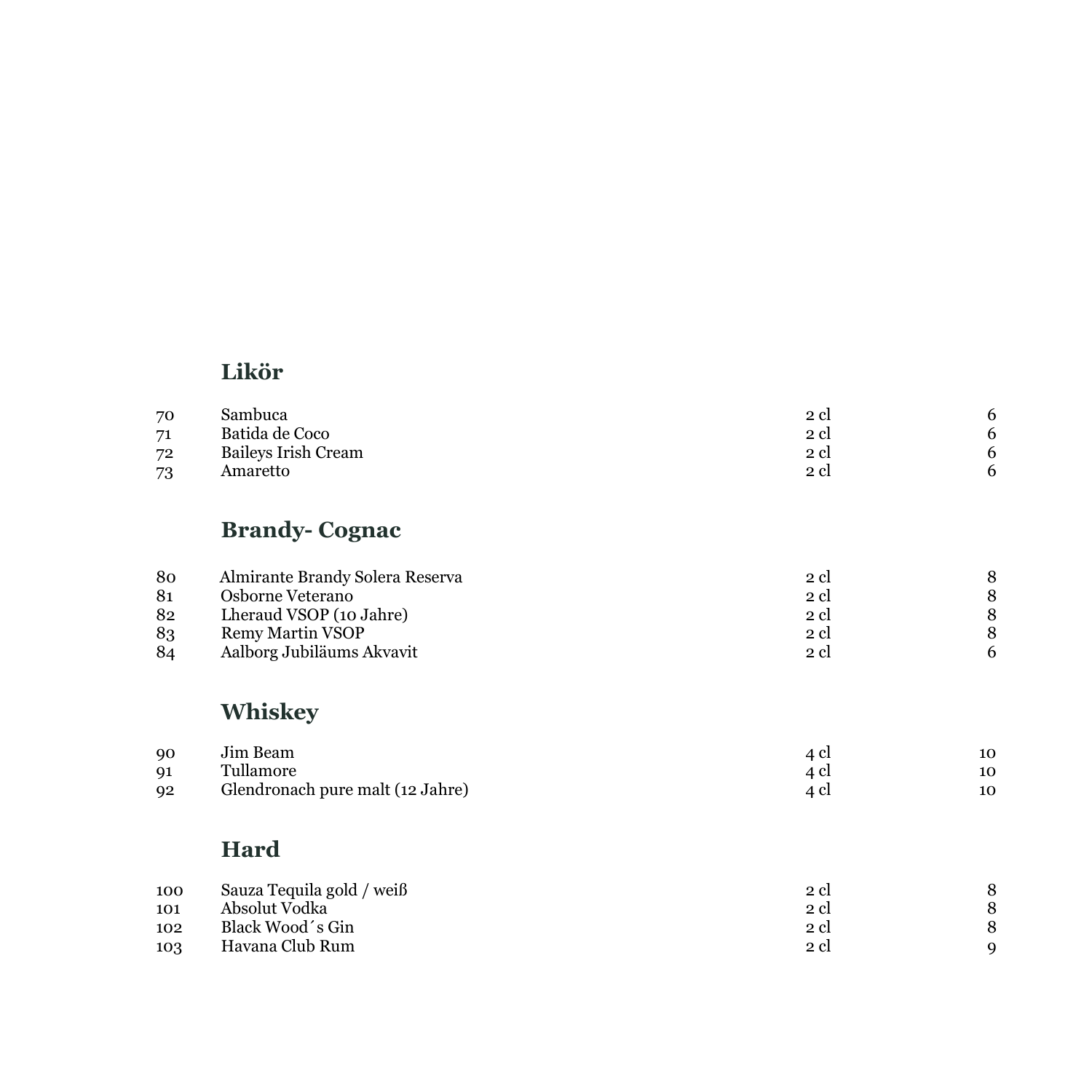### **Likör**

| 70 | Sambuca             | 2 cl |  |
|----|---------------------|------|--|
| 71 | Batida de Coco      | 2 cl |  |
| 72 | Baileys Irish Cream | 2 cl |  |
| 73 | Amaretto            | 2 cl |  |

#### **Brandy - Cognac**

| 80 | Almirante Brandy Solera Reserva | 2 cl |  |
|----|---------------------------------|------|--|
| 81 | Osborne Veterano                | 2 cl |  |
| 82 | Lheraud VSOP (10 Jahre)         | 2 cl |  |
| 83 | Remy Martin VSOP                | 2 cl |  |
| 84 | Aalborg Jubiläums Akvavit       | 2 cl |  |

#### **Wh i skey**

| $90^{\circ}$ | Jim Beam                         | 4 cl | 10 |
|--------------|----------------------------------|------|----|
| Q1           | Tullamore                        | 4 cl | 10 |
| Q2           | Glendronach pure malt (12 Jahre) |      | 10 |

### **Hard**

| 100<br>101 | Sauza Tequila gold / weiß<br>Absolut Vodka | 2 cl<br>2 cl |   |
|------------|--------------------------------------------|--------------|---|
| 102        | Black Wood's Gin                           | 2 cl         |   |
| 103        | Havana Club Rum                            | 2 cl         | a |